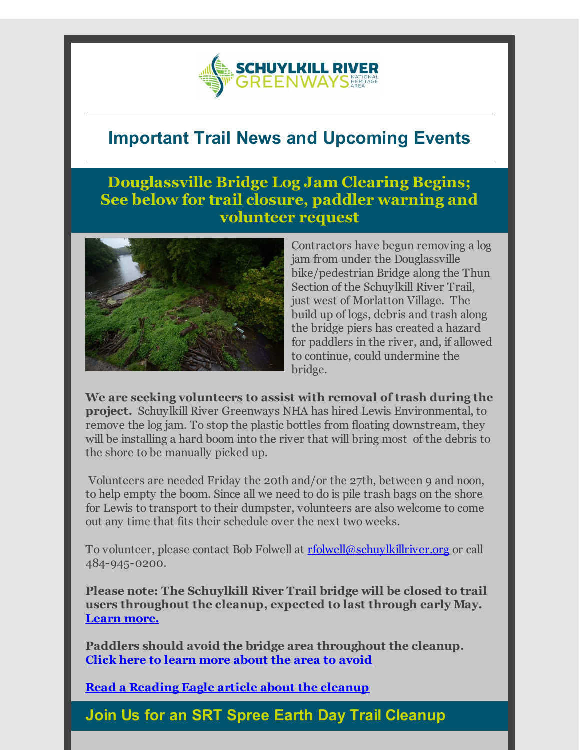

# **Important Trail News and Upcoming Events**

### **Douglassville Bridge Log Jam Clearing Begins; See below for trail closure, paddler warning and volunteer request**



Contractors have begun removing a log jam from under the Douglassville bike/pedestrian Bridge along the Thun Section of the Schuylkill River Trail, just west of Morlatton Village. The build up of logs, debris and trash along the bridge piers has created a hazard for paddlers in the river, and, if allowed to continue, could undermine the bridge.

**We are seeking volunteers to assist with removal of trash during the project.** Schuylkill River Greenways NHA has hired Lewis Environmental, to remove the log jam. To stop the plastic bottles from floating downstream, they will be installing a hard boom into the river that will bring most of the debris to the shore to be manually picked up.

Volunteers are needed Friday the 20th and/or the 27th, between 9 and noon, to help empty the boom. Since all we need to do is pile trash bags on the shore for Lewis to transport to their dumpster, volunteers are also welcome to come out any time that fits their schedule over the next two weeks.

To volunteer, please contact Bob Folwell at **<u>[rfolwell@schuylkillriver.org](mailto:rfolwell@schuylkillriver.org)</u>** or call 484-945-0200.

**Please note: The Schuylkill River Trail bridge will be closed to trail users throughout the cleanup, expected to last through early May. [Learn](http://r20.rs6.net/tn.jsp?f=001NLAONBn5CuzQ5BDNfxLFBnzs3CnEGGFY0kfElQKkhArvRPVyHoT3dHDC22TPvnTGIa9hfuZ0FS0pk_-l6TvOKx5y7l-XRHPS17a9oNYiu9w6l74EMq9VIqoyNPQ6dKJIlqsSPRQoJqflmhsabVb9iVco5JgT2_jqFZquNvQ8ywEY9UiQ8h7McvTMlAVCFFt9w75zaH8uq8Gn6c3R3VfnFC90Xp6aCpYR7eKXt2bZ8CATuP06102PoVWs4jnM36IRwnyeN4h_kibi7voW7hiQWDPSGt_nnVGcMxsjC9axtcVUV64ICEPikFxUiAlzjLep&c=&ch=) more.**

**Paddlers should avoid the bridge area throughout the cleanup. Click here to learn more [about](http://r20.rs6.net/tn.jsp?f=001NLAONBn5CuzQ5BDNfxLFBnzs3CnEGGFY0kfElQKkhArvRPVyHoT3dHDC22TPvnTGljzqZb0qdNLBiAsN4hjyrCeeiWNqLKcWcRLZjpqsJ7hvnz89jtKPC9biy7c-Xqpc_vU1v_eG4Nek4K17EVidMiIw5zqdS432wZ-dQYNUAaFLKuVHNxo1Vo8hoH90Wq0nVKKiE3edoIFBU4SwdIMnuA==&c=&ch=) the area to avoid**

**Read a [Reading](http://r20.rs6.net/tn.jsp?f=001NLAONBn5CuzQ5BDNfxLFBnzs3CnEGGFY0kfElQKkhArvRPVyHoT3dHDC22TPvnTGjmTsxX89lrbKcfGfihZ0BuXiu040cenbvcFOFGazP02vl7BOCU73GpdFly8ZPTLemY3iVHWN4t8x4yVWSYcE0CRGYoDQLnrvb8mp3Infbs2NmaJFITweROe2pAnb73RxnVWp27SIxTYSpgIAqbPDVGyaBarMoEZb5IHw3mJ21P-SkVlC2ekSISSRY0t6aBV6jOmNRvT31L0=&c=&ch=) Eagle article about the cleanup**

**Join Us for an SRT Spree Earth Day Trail Cleanup**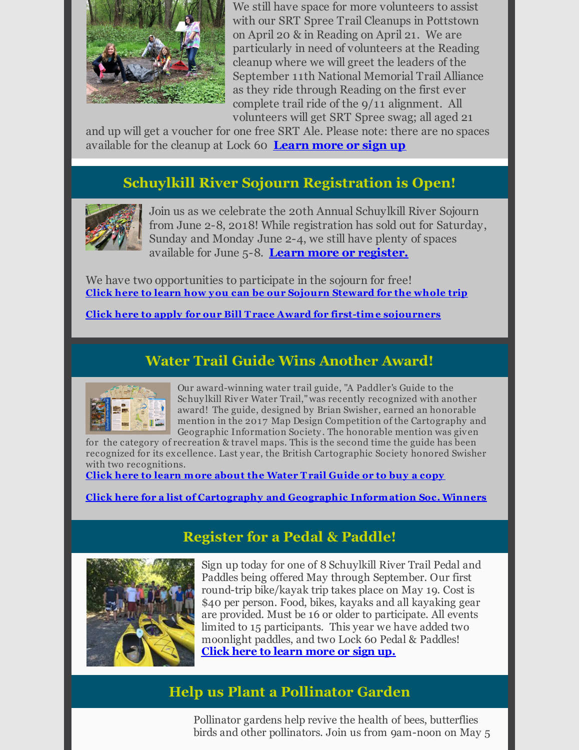

We still have space for more volunteers to assist with our SRT Spree Trail Cleanups in Pottstown on April 20 & in Reading on April 21. We are particularly in need of volunteers at the Reading cleanup where we will greet the leaders of the September 11th National Memorial Trail Alliance as they ride through Reading on the first ever complete trail ride of the 9/11 alignment. All volunteers will get SRT Spree swag; all aged 21

and up will get a voucher for one free SRT Ale. Please note: there are no spaces available for the cleanup at Lock 60 **[Learn](http://r20.rs6.net/tn.jsp?f=001NLAONBn5CuzQ5BDNfxLFBnzs3CnEGGFY0kfElQKkhArvRPVyHoT3dLhUZiC0albYh1QaU5cMLh5fvacFCvW7kf3-bLGTk83keNC7ffdcHZCmmKUJnij5lJcZ5SkNu-c-w-1kWle9AVn_RoUNdKDV7XfnGwYcJvYD1y8hNwAAkybvh4Yy5yP6TJnVs89OHytbEGD1HhbaedpYsF1ZVrK3Fw==&c=&ch=) more or sign up**

### **Schuylkill River Sojourn Registration is Open!**



Join us as we celebrate the 20th Annual Schuylkill River Sojourn from June 2-8, 2018! While registration has sold out for Saturday, Sunday and Monday June 2-4, we still have plenty of spaces available for June 5-8. **Learn more or [register.](http://r20.rs6.net/tn.jsp?f=001NLAONBn5CuzQ5BDNfxLFBnzs3CnEGGFY0kfElQKkhArvRPVyHoT3dDq5hpVGf5H64RK5CfbZesHfEv9tMVtqI3CS4iWsWAuCI--IU-LSgrW8RPlloi8GdvUu3E1tjoUeIh3VKyyW4X1rKuQ8vcKjSvEInmHUuyqV7JOhdGt4Fag1iL4wmKiiOWW5MRlNg8LAENZVBDVoFPU=&c=&ch=)**

We have two opportunities to participate in the sojourn for free! **Click here to learn how you can be our Sojourn [Steward](http://r20.rs6.net/tn.jsp?f=001NLAONBn5CuzQ5BDNfxLFBnzs3CnEGGFY0kfElQKkhArvRPVyHoT3dMNdPZARJmts8nTBEv5Ikd473hkU3TYzW_8FZHdQAmXvfy4SRGtWtdYlpznxsYD1aUK4SvqIagbGGS6mi5ebIVJIiJwVqUuepCo3-aHpk4iPG5gJsfvBECu7qdw7LTKWslxeIsFWS-3ymbV7tITK7wx6ZXe0GHSLRQ==&c=&ch=) for the whole trip**

**Click here to apply for our Bill Trace Award for first-time [sojourners](http://r20.rs6.net/tn.jsp?f=001NLAONBn5CuzQ5BDNfxLFBnzs3CnEGGFY0kfElQKkhArvRPVyHoT3dMNdPZARJmtsHHjwUu8V5J1qGc3nQnGUcaYuAhFEtCIkj_w8ethPZgOSwQ1099OlDLz4JlKNwT1lTT-7ICWNe1NDHlKPL5tvTQrYgB1Bw6ZuREgOuusvGHuYPWQiwy0x0hxQYq3pOcZX&c=&ch=)**

### **Water Trail Guide Wins Another Award!**



Our award-winning water trail guide, "A Paddler's Guide to the Schuy lkill River Water Trail,"was recently recognized with another award! The guide, designed by Brian Swisher, earned an honorable mention in the 2017 Map Design Competition of the Cartography and Geographic Information Society . The honorable mention was given

for the category of recreation & travel maps. This is the second time the guide has been recognized for its excellence. Last year, the British Cartographic Society honored Swisher with two recognitions.

**Click here to learn more about the [Water](http://r20.rs6.net/tn.jsp?f=001NLAONBn5CuzQ5BDNfxLFBnzs3CnEGGFY0kfElQKkhArvRPVyHoT3dLDGGMocJVQmlTJLDxq-n957h6DJNZgb_va7WCrgFfy5kLrVvJFhu4Qo60yVmPgRMu39poYm5DXI1xn0p6yrVQDkyPB2ATkXmqE0Ehltgm2dSnbACrDPaNjDnmxsVJIoyxVRdjGgHviiUj6fZMw-hyHd6HUs_b6s_w==&c=&ch=) Trail Guide or to buy a copy**

**Click here for a list of Cartography and Geographic [Information](http://r20.rs6.net/tn.jsp?f=001NLAONBn5CuzQ5BDNfxLFBnzs3CnEGGFY0kfElQKkhArvRPVyHoT3dHDC22TPvnTGqURXwyoSklVpL2iAW_AkTOL9ofhm4R2XVcum6eITKoaF1NlsXN6gceii0PHSkwVCUJDbgaom586NEnXwgSS5SgzVFUcOs5SnEdO-qhphURgdKLykiIqEytrUoxEvz8OwLFCZHrisx7BBhvzAT3NDnQzkvLa5WEnY0YZdZ02_gy7eR8KxE4XLBJEZ6r2V4PhF9w_NyyZut0FMZEjwHJJU6w==&c=&ch=) Soc. Winners**

## **Register for a Pedal & Paddle!**



Sign up today for one of 8 Schuylkill River Trail Pedal and Paddles being offered May through September. Our first round-trip bike/kayak trip takes place on May 19. Cost is \$40 per person. Food, bikes, kayaks and all kayaking gear are provided. Must be 16 or older to participate. All events limited to 15 participants. This year we have added two moonlight paddles, and two Lock 60 Pedal & Paddles! **Click here to learn [more](http://r20.rs6.net/tn.jsp?f=001NLAONBn5CuzQ5BDNfxLFBnzs3CnEGGFY0kfElQKkhArvRPVyHoT3dDpGU-aAsXB0P6HC-hJ-oJmHZAzU6lEg4V-_kp81vxpw5kh3jHN89E3nMYNolQOP9zxRPp13w_AOKk02nVHpDsGOHOVrNlfZdsdd4pSiFJE7wMgD5fHHMofKpgMlmdnca5_hRfI0ytn51kvphesGDSH07A0xyDytwQ==&c=&ch=) or sign up.**

#### **Help us Plant a Pollinator Garden**

Pollinator gardens help revive the health of bees, butterflies birds and other pollinators. Join us from 9am-noon on May 5